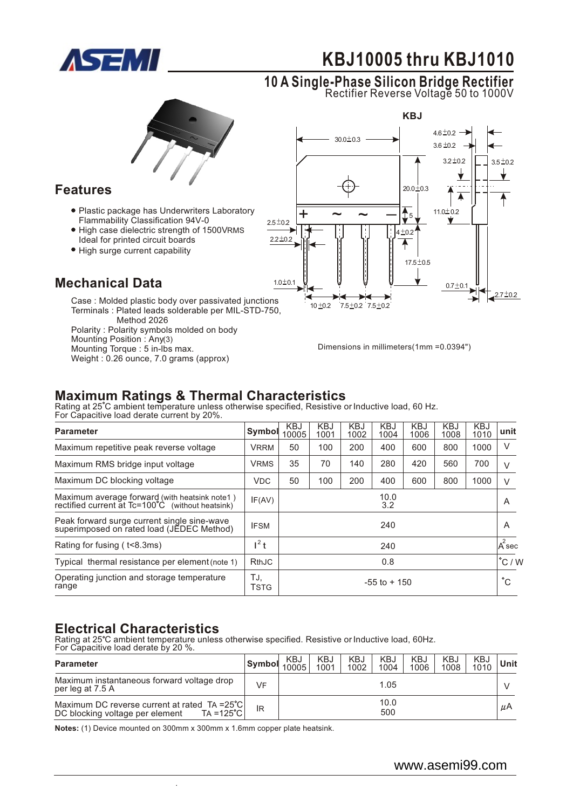

# **0 0 KBJ1 005 thru KBJ1 10**

#### **0 1 A Single-Phase Silicon Bridge Rectifier** Rectifier Reverse Voltage 50 to 1000V



#### **Features**

- Plastic package has Underwriters Laboratory Flammability Classification 94V-0
- $\bullet$  High case dielectric strength of 1500VRMS Ideal for printed circuit boards
- High surge current capability

### **Mechanical Data**

Case : Molded plastic body over passivated junctions Terminals : Plated leads solderable per MIL-STD-750, Method 2026 Polarity : Polarity symbols molded on body Mounting Position : Any(3) Mounting Torque : 5 in-lbs max. Weight : 0.26 ounce, 7.0 grams (approx)



Dimensions in millimeters(1mm =0.0394")

## **Maximum Ratings & Thermal Characteristics**

Rating at 25 C ambient temperature unless otherwise specified, Resistive or Inductive load, 60 Hz. For Capacitive load derate current by 20%.

| <b>Parameter</b>                                                                                  | <b>Symbol</b>      | KBJ<br>10005    | <b>KBJ</b><br>1001 | <b>KBJ</b><br>1002 | <b>KBJ</b><br>1004 | <b>KBJ</b><br>1006 | <b>KBJ</b><br>1008 | <b>KBJ</b><br>1010 | unit             |
|---------------------------------------------------------------------------------------------------|--------------------|-----------------|--------------------|--------------------|--------------------|--------------------|--------------------|--------------------|------------------|
| Maximum repetitive peak reverse voltage                                                           | <b>VRRM</b>        | 50              | 100                | 200                | 400                | 600                | 800                | 1000               | V                |
| Maximum RMS bridge input voltage                                                                  | <b>VRMS</b>        | 35              | 70                 | 140                | 280                | 420                | 560                | 700                | V                |
| Maximum DC blocking voltage                                                                       | <b>VDC</b>         | 50              | 100                | 200                | 400                | 600                | 800                | 1000               | V                |
| Maximum average forward (with heatsink note1)<br>rectified current at Tc=100°C (without heatsink) | IF(AV)             | 10.0<br>3.2     |                    |                    |                    |                    |                    |                    | A                |
| Peak forward surge current single sine-wave<br>superimposed on rated load (JEDEC Method)          | <b>IFSM</b>        | 240             |                    |                    |                    |                    |                    | A                  |                  |
| Rating for fusing (t<8.3ms)                                                                       | $l^2$ t            | 240             |                    |                    |                    |                    |                    |                    | $A^2$ sec        |
| Typical thermal resistance per element (note 1)                                                   | RthJC              | 0.8             |                    |                    |                    |                    |                    |                    | $^{\circ}$ C / W |
| Operating junction and storage temperature<br>range                                               | TJ.<br><b>TSTG</b> | $-55$ to $+150$ |                    |                    |                    |                    |                    |                    | $^{\circ}$ C     |

### **Electrical Characteristics**

Rating at 25°C ambient temperature unless otherwise specified. Resistive or Inductive load, 60Hz.

| For Capacitive load derate by 20 %.                                                            |        |              |             |             |                    |             |             |             |      |  |
|------------------------------------------------------------------------------------------------|--------|--------------|-------------|-------------|--------------------|-------------|-------------|-------------|------|--|
| <b>Parameter</b>                                                                               | Symbol | KBJ<br>10005 | KBJ<br>1001 | KBJ<br>1002 | <b>KBJ</b><br>1004 | KBJ<br>1006 | KBJ<br>1008 | KBJ<br>1010 | Unit |  |
| Maximum instantaneous forward voltage drop<br>per leg at 7.5 A                                 | VF     | 1.05         |             |             |                    |             |             |             |      |  |
| Maximum DC reverse current at rated TA =25°C<br>TA =125°C l<br>DC blocking voltage per element | lR     | 10.0<br>500  |             |             |                    |             |             | uΑ          |      |  |

**Notes:** (1) Device mounted on 300mm x 300mm x 1.6mm copper plate heatsink.

.